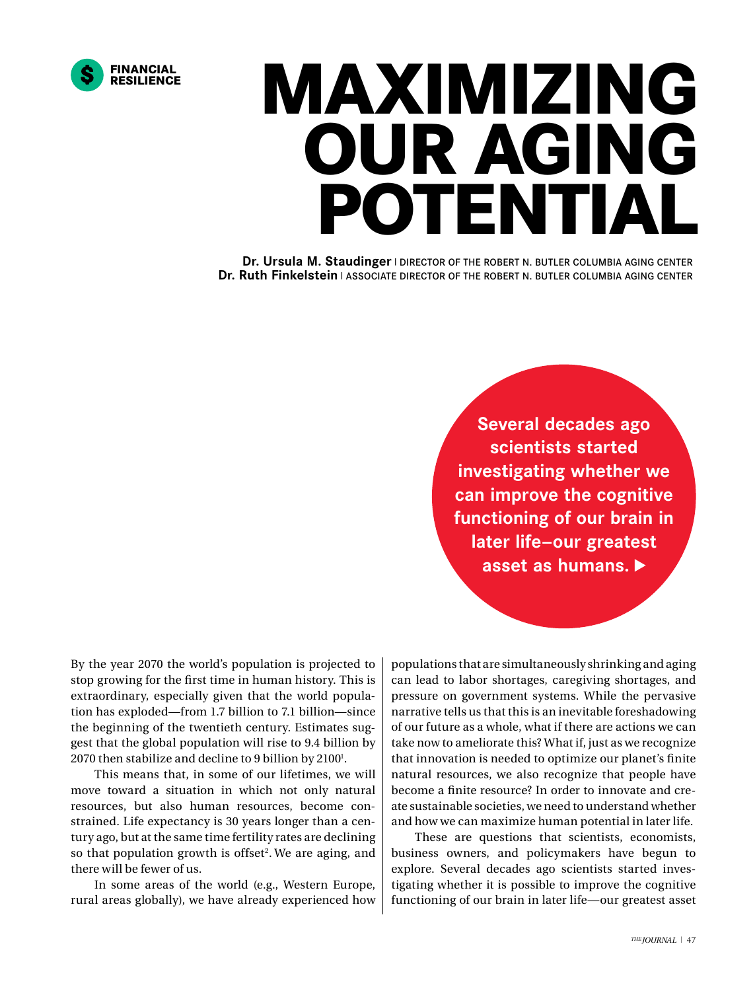

## **MAXIMIZING OUR AGING POTENTIAL**

**Dr. Ursula M. Staudinger | DIRECTOR OF THE ROBERT N. BUTLER COLUMBIA AGING CENTER Dr. Ruth Finkelstein** | ASSOCIATE DIRECTOR OF THE ROBERT N. BUTLER COLUMBIA AGING CENTER

> **Several decades ago scientists started investigating whether we can improve the cognitive functioning of our brain in later life—our greatest asset as humans.**

By the year 2070 the world's population is projected to stop growing for the first time in human history. This is extraordinary, especially given that the world population has exploded—from 1.7 billion to 7.1 billion—since the beginning of the twentieth century. Estimates suggest that the global population will rise to 9.4 billion by 2070 then stabilize and decline to 9 billion by 2100<sup>1</sup>.

This means that, in some of our lifetimes, we will move toward a situation in which not only natural resources, but also human resources, become constrained. Life expectancy is 30 years longer than a century ago, but at the same time fertility rates are declining so that population growth is offset<sup>2</sup>. We are aging, and there will be fewer of us.

In some areas of the world (e.g., Western Europe, rural areas globally), we have already experienced how populations that are simultaneously shrinking and aging can lead to labor shortages, caregiving shortages, and pressure on government systems. While the pervasive narrative tells us that this is an inevitable foreshadowing of our future as a whole, what if there are actions we can take now to ameliorate this? What if, just as we recognize that innovation is needed to optimize our planet's finite natural resources, we also recognize that people have become a finite resource? In order to innovate and create sustainable societies, we need to understand whether and how we can maximize human potential in later life.

These are questions that scientists, economists, business owners, and policymakers have begun to explore. Several decades ago scientists started investigating whether it is possible to improve the cognitive functioning of our brain in later life—our greatest asset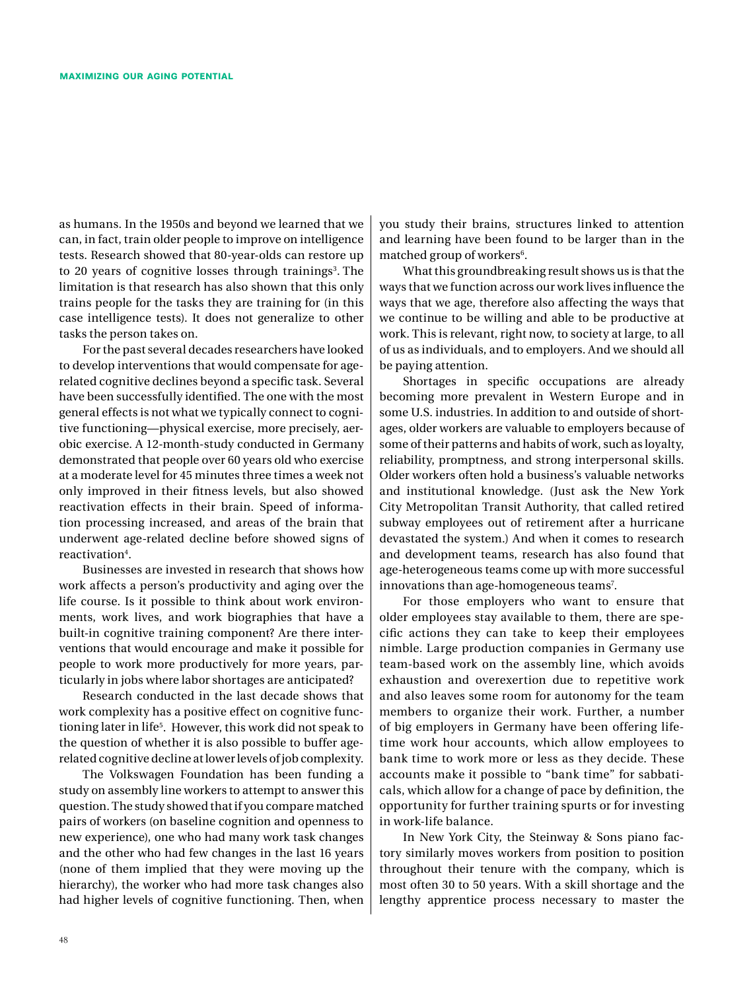as humans. In the 1950s and beyond we learned that we can, in fact, train older people to improve on intelligence tests. Research showed that 80-year-olds can restore up to 20 years of cognitive losses through trainings<sup>3</sup>. The limitation is that research has also shown that this only trains people for the tasks they are training for (in this case intelligence tests). It does not generalize to other tasks the person takes on.

For the past several decades researchers have looked to develop interventions that would compensate for agerelated cognitive declines beyond a specific task. Several have been successfully identified. The one with the most general effects is not what we typically connect to cognitive functioning—physical exercise, more precisely, aerobic exercise. A 12-month-study conducted in Germany demonstrated that people over 60 years old who exercise at a moderate level for 45 minutes three times a week not only improved in their fitness levels, but also showed reactivation effects in their brain. Speed of information processing increased, and areas of the brain that underwent age-related decline before showed signs of reactivation<sup>4</sup>.

Businesses are invested in research that shows how work affects a person's productivity and aging over the life course. Is it possible to think about work environments, work lives, and work biographies that have a built-in cognitive training component? Are there interventions that would encourage and make it possible for people to work more productively for more years, particularly in jobs where labor shortages are anticipated?

Research conducted in the last decade shows that work complexity has a positive effect on cognitive functioning later in life<sup>5</sup>. However, this work did not speak to the question of whether it is also possible to buffer agerelated cognitive decline at lower levels of job complexity.

The Volkswagen Foundation has been funding a study on assembly line workers to attempt to answer this question. The study showed that if you compare matched pairs of workers (on baseline cognition and openness to new experience), one who had many work task changes and the other who had few changes in the last 16 years (none of them implied that they were moving up the hierarchy), the worker who had more task changes also had higher levels of cognitive functioning. Then, when you study their brains, structures linked to attention and learning have been found to be larger than in the matched group of workers<sup>6</sup>.

What this groundbreaking result shows us is that the ways that we function across our work lives influence the ways that we age, therefore also affecting the ways that we continue to be willing and able to be productive at work. This is relevant, right now, to society at large, to all of us as individuals, and to employers. And we should all be paying attention.

Shortages in specific occupations are already becoming more prevalent in Western Europe and in some U.S. industries. In addition to and outside of shortages, older workers are valuable to employers because of some of their patterns and habits of work, such as loyalty, reliability, promptness, and strong interpersonal skills. Older workers often hold a business's valuable networks and institutional knowledge. (Just ask the New York City Metropolitan Transit Authority, that called retired subway employees out of retirement after a hurricane devastated the system.) And when it comes to research and development teams, research has also found that age-heterogeneous teams come up with more successful innovations than age-homogeneous teams<sup>7</sup>.

For those employers who want to ensure that older employees stay available to them, there are specific actions they can take to keep their employees nimble. Large production companies in Germany use team-based work on the assembly line, which avoids exhaustion and overexertion due to repetitive work and also leaves some room for autonomy for the team members to organize their work. Further, a number of big employers in Germany have been offering lifetime work hour accounts, which allow employees to bank time to work more or less as they decide. These accounts make it possible to "bank time" for sabbaticals, which allow for a change of pace by definition, the opportunity for further training spurts or for investing in work-life balance.

In New York City, the Steinway & Sons piano factory similarly moves workers from position to position throughout their tenure with the company, which is most often 30 to 50 years. With a skill shortage and the lengthy apprentice process necessary to master the